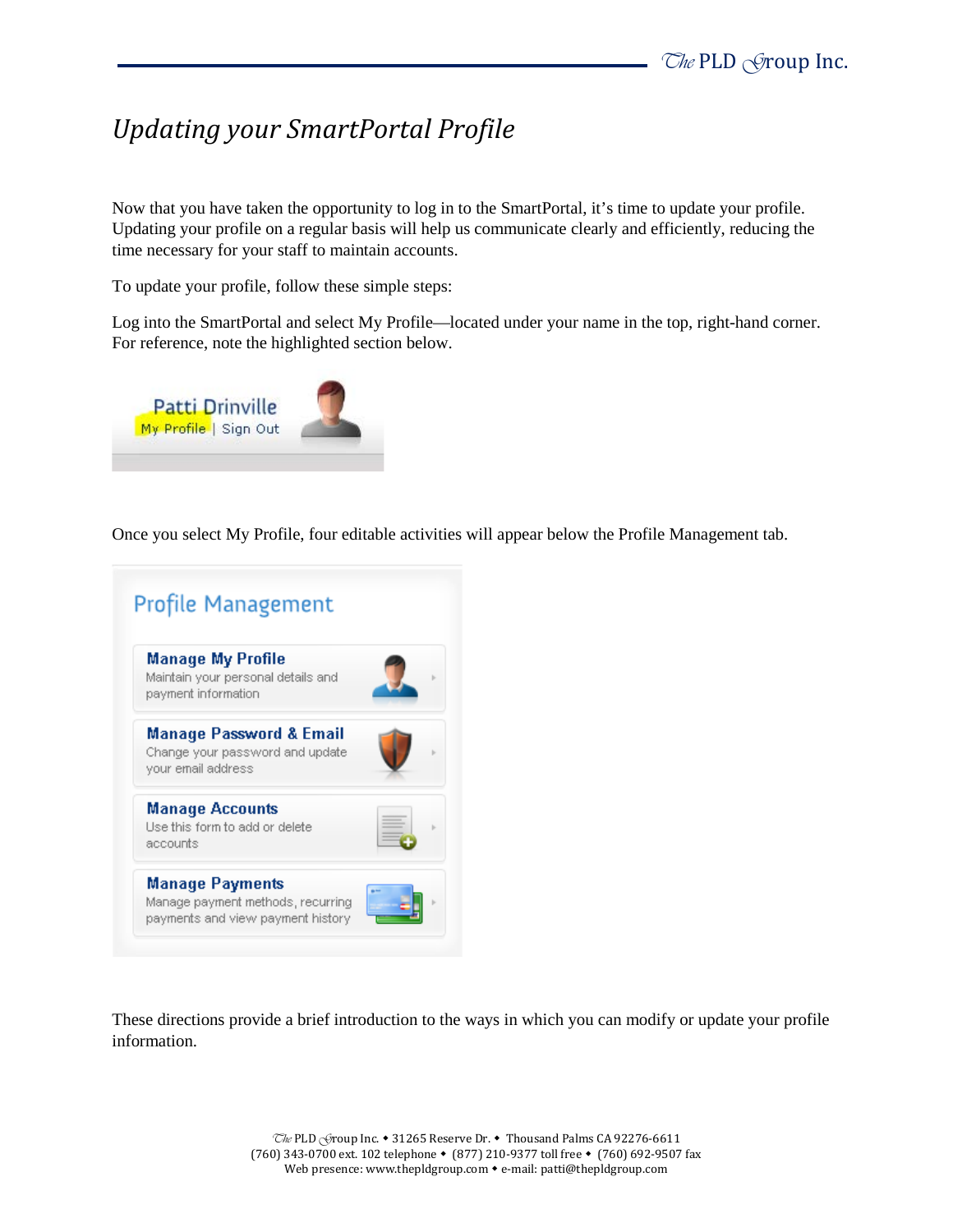## *Updating your SmartPortal Profile*

Now that you have taken the opportunity to log in to the SmartPortal, it's time to update your profile. Updating your profile on a regular basis will help us communicate clearly and efficiently, reducing the time necessary for your staff to maintain accounts.

To update your profile, follow these simple steps:

Log into the SmartPortal and select My Profile—located under your name in the top, right-hand corner. For reference, note the highlighted section below.



Once you select My Profile, four editable activities will appear below the Profile Management tab.

| Manage My Profile<br>Maintain your personal details and<br>payment information              |  |
|---------------------------------------------------------------------------------------------|--|
| <b>Manage Password &amp; Email</b><br>Change your password and update<br>your email address |  |
| <b>Manage Accounts</b><br>Use this form to add or delete<br>accounts                        |  |

These directions provide a brief introduction to the ways in which you can modify or update your profile information.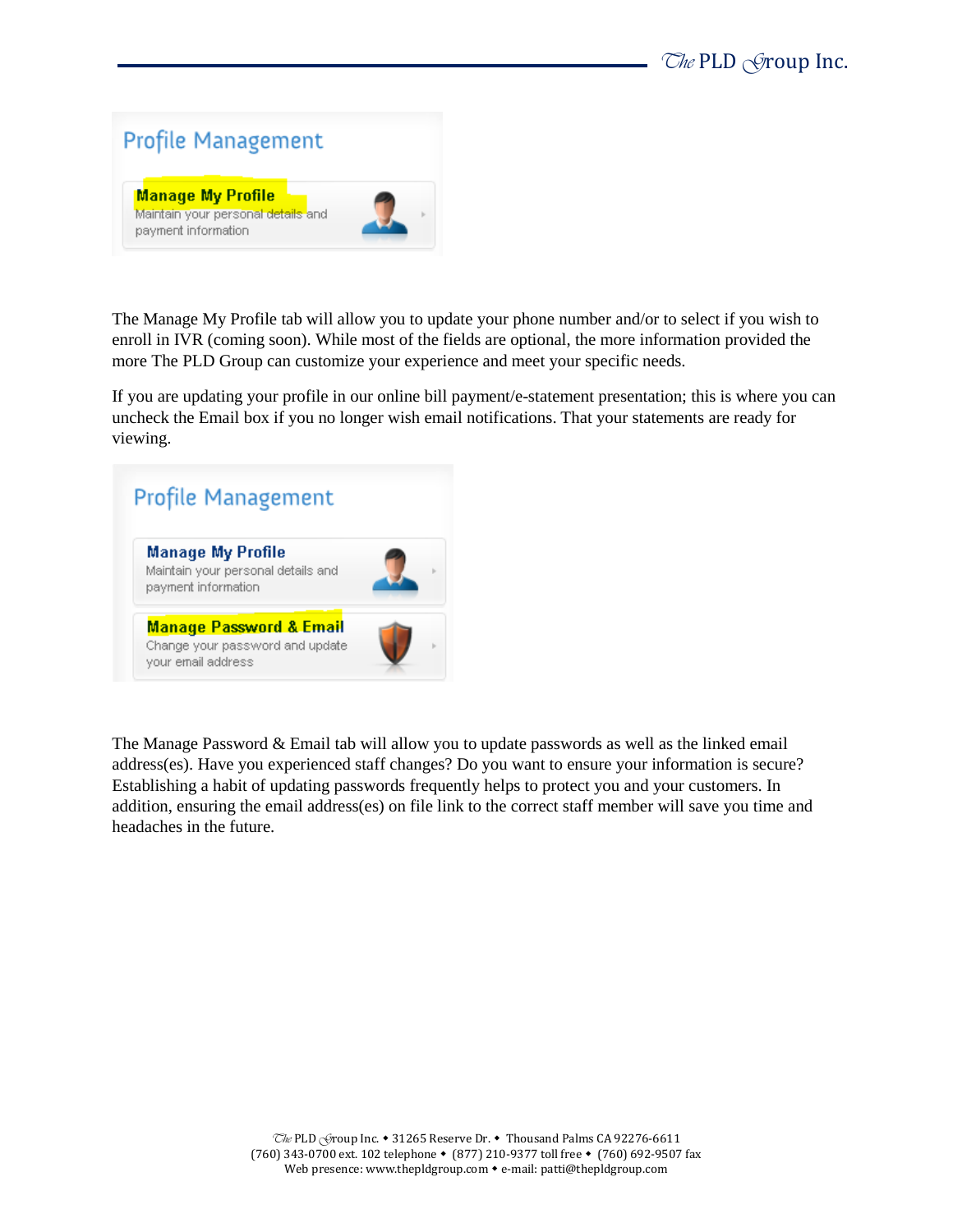

The Manage My Profile tab will allow you to update your phone number and/or to select if you wish to enroll in IVR (coming soon). While most of the fields are optional, the more information provided the more The PLD Group can customize your experience and meet your specific needs.

If you are updating your profile in our online bill payment/e-statement presentation; this is where you can uncheck the Email box if you no longer wish email notifications. That your statements are ready for viewing.



The Manage Password & Email tab will allow you to update passwords as well as the linked email address(es). Have you experienced staff changes? Do you want to ensure your information is secure? Establishing a habit of updating passwords frequently helps to protect you and your customers. In addition, ensuring the email address(es) on file link to the correct staff member will save you time and headaches in the future.